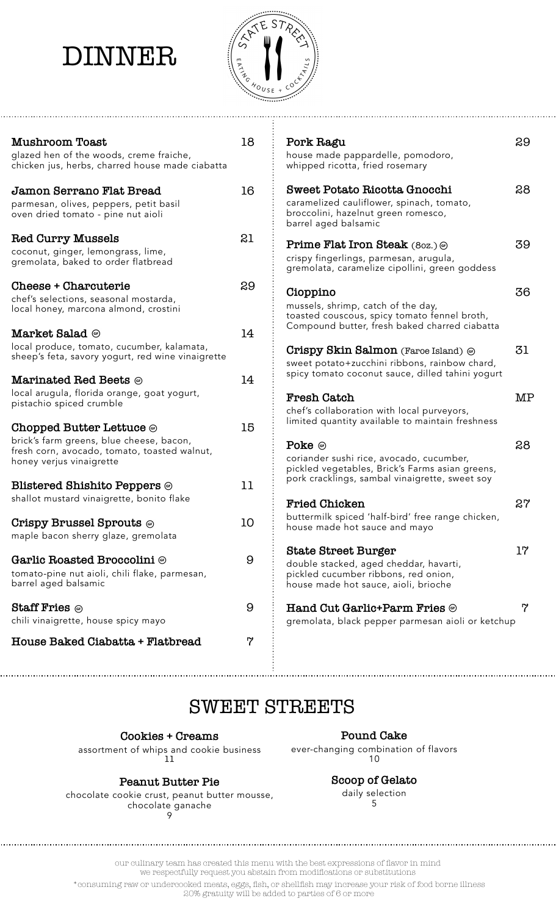## DINNER



| <b>Mushroom Toast</b><br>glazed hen of the woods, creme fraiche,<br>chicken jus, herbs, charred house made ciabatta                                           | 18       | Pork Ragu<br>house made pappardelle, pomodoro,<br>whipped ricotta, fried rosemary                                                                    | 29 |
|---------------------------------------------------------------------------------------------------------------------------------------------------------------|----------|------------------------------------------------------------------------------------------------------------------------------------------------------|----|
| Jamon Serrano Flat Bread<br>parmesan, olives, peppers, petit basil<br>oven dried tomato - pine nut aioli                                                      | 16       | Sweet Potato Ricotta Gnocchi<br>caramelized cauliflower, spinach, tomato,<br>broccolini, hazelnut green romesco,<br>barrel aged balsamic             | 28 |
| <b>Red Curry Mussels</b><br>coconut, ginger, lemongrass, lime,<br>gremolata, baked to order flatbread                                                         | 21       | Prime Flat Iron Steak (80z.) @<br>crispy fingerlings, parmesan, arugula,<br>gremolata, caramelize cipollini, green goddess                           | 39 |
| Cheese + Charcuterie<br>chef's selections, seasonal mostarda,<br>local honey, marcona almond, crostini<br>Market Salad @                                      | 29<br>14 | Cioppino<br>mussels, shrimp, catch of the day,<br>toasted couscous, spicy tomato fennel broth,<br>Compound butter, fresh baked charred ciabatta      | 36 |
| local produce, tomato, cucumber, kalamata,<br>sheep's feta, savory yogurt, red wine vinaigrette<br><b>Marinated Red Beets</b> $\circledcirc$                  | 14       | Crispy Skin Salmon (Faroe Island) @<br>sweet potato+zucchini ribbons, rainbow chard,<br>spicy tomato coconut sauce, dilled tahini yogurt             | 31 |
| local arugula, florida orange, goat yogurt,<br>pistachio spiced crumble                                                                                       | 15       | <b>Fresh Catch</b><br>chef's collaboration with local purveyors,<br>limited quantity available to maintain freshness                                 | MP |
| Chopped Butter Lettuce $\circledcirc$<br>brick's farm greens, blue cheese, bacon,<br>fresh corn, avocado, tomato, toasted walnut,<br>honey verjus vinaigrette |          | Poke $\circledcirc$<br>coriander sushi rice, avocado, cucumber,<br>pickled vegetables, Brick's Farms asian greens,                                   | 28 |
| <b>Blistered Shishito Peppers @</b><br>shallot mustard vinaigrette, bonito flake                                                                              | 11       | pork cracklings, sambal vinaigrette, sweet soy<br><b>Fried Chicken</b>                                                                               | 27 |
| Crispy Brussel Sprouts $\circledcirc$<br>maple bacon sherry glaze, gremolata                                                                                  | 10       | buttermilk spiced 'half-bird' free range chicken,<br>house made hot sauce and mayo                                                                   |    |
| Garlic Roasted Broccolini @<br>tomato-pine nut aioli, chili flake, parmesan,<br>barrel aged balsamic                                                          | 9        | <b>State Street Burger</b><br>double stacked, aged cheddar, havarti,<br>pickled cucumber ribbons, red onion,<br>house made hot sauce, aioli, brioche | 17 |
| <b>Staff Fries</b> $\circledcirc$<br>chili vinaigrette, house spicy mayo                                                                                      | 9        | Hand Cut Garlic+Parm Fries ®<br>gremolata, black pepper parmesan aioli or ketchup                                                                    | 7  |
| House Baked Ciabatta + Flatbread                                                                                                                              | 7        |                                                                                                                                                      |    |

### SWEET STREETS

**Cookies + Creams**

assortment of whips and cookie business 11

**Peanut Butter Pie** chocolate cookie crust, peanut butter mousse, chocolate ganache 9

**Pound Cake**

ever-changing combination of flavors 10

> **Scoop of Gelato** daily selection 5

our culinary team has created this menu with the best expressions of flavor in mind we respectfully request you abstain from modifications or substitutions

 \*consuming raw or undercooked meats, eggs, fish, or shellfish may increase your risk of food borne illness 20% gratuity will be added to parties of 6 or more